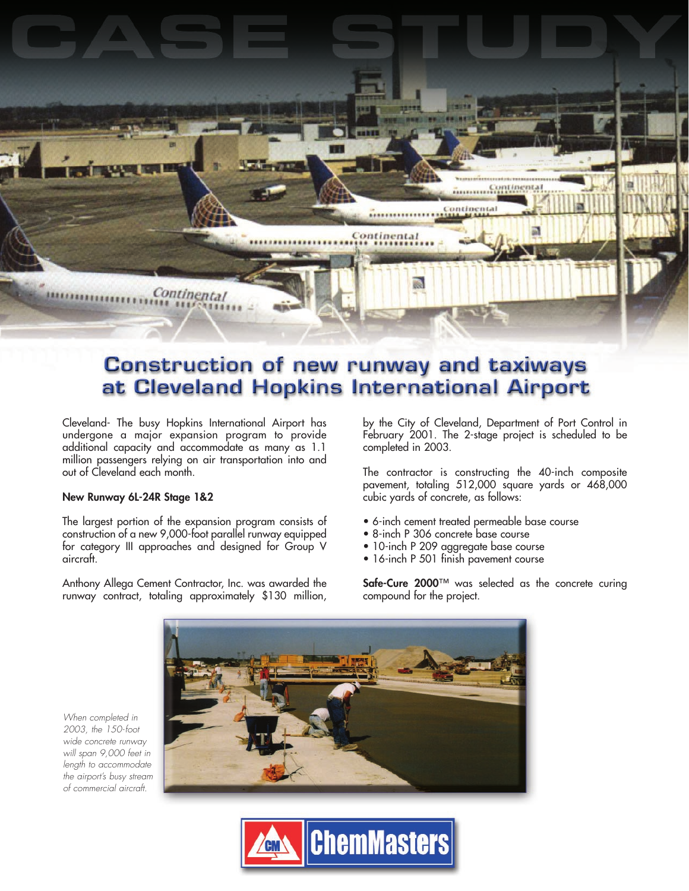

## **Construction of new runway and taxiways** at Cleveland Hopkins International Airport

Cleveland- The busy Hopkins International Airport has undergone a major expansion program to provide additional capacity and accommodate as many as 1.1 million passengers relying on air transportation into and out of Cleveland each month.

## **New Runway 6L-24R Stage 1&2**

When completed in 2003, the 150-foot wide concrete runway

of commercial aircraft.

The largest portion of the expansion program consists of construction of a new 9,000-foot parallel runway equipped for category III approaches and designed for Group V aircraft.

Anthony Allega Cement Contractor, Inc. was awarded the runway contract, totaling approximately \$130 million, by the City of Cleveland, Department of Port Control in February 2001. The 2-stage project is scheduled to be completed in 2003.

The contractor is constructing the 40-inch composite pavement, totaling 512,000 square yards or 468,000 cubic yards of concrete, as follows:

- 6-inch cement treated permeable base course
- 8-inch P 306 concrete base course
- 10-inch P 209 aggregate base course
- 16-inch P 501 finish pavement course

**Safe-Cure 2000**™ was selected as the concrete curing compound for the project.



**ChemMasters**